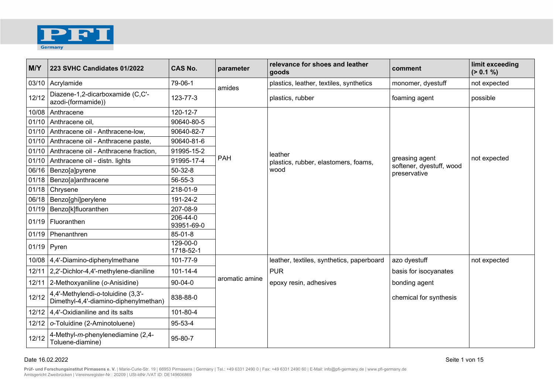

| M/Y   | 223 SVHC Candidates 01/2022                                                 | <b>CAS No.</b>         | parameter      | relevance for shoes and leather<br>goods  | comment                                  | limit exceeding<br>(> 0.1 %) |
|-------|-----------------------------------------------------------------------------|------------------------|----------------|-------------------------------------------|------------------------------------------|------------------------------|
|       | 03/10 Acrylamide                                                            | 79-06-1                | amides         | plastics, leather, textiles, synthetics   | monomer, dyestuff                        | not expected                 |
| 12/12 | Diazene-1,2-dicarboxamide (C,C'-<br>azodi-(formamide))                      | 123-77-3               |                | plastics, rubber                          | foaming agent                            | possible                     |
| 10/08 | Anthracene                                                                  | 120-12-7               |                |                                           |                                          |                              |
|       | 01/10 Anthracene oil,                                                       | 90640-80-5             |                |                                           |                                          |                              |
|       | 01/10 Anthracene oil - Anthracene-low,                                      | 90640-82-7             |                |                                           |                                          |                              |
| 01/10 | Anthracene oil - Anthracene paste,                                          | 90640-81-6             | <b>PAH</b>     |                                           |                                          |                              |
|       | 01/10 Anthracene oil - Anthracene fraction,                                 | 91995-15-2             |                | leather                                   |                                          | not expected                 |
| 01/10 | Anthracene oil - distn. lights                                              | 91995-17-4             |                | plastics, rubber, elastomers, foams,      | greasing agent                           |                              |
|       | 06/16   Benzo[a]pyrene                                                      | $50 - 32 - 8$          |                | wood                                      | softener, dyestuff, wood<br>preservative |                              |
|       | 01/18   Benzo[a]anthracene                                                  | 56-55-3                |                |                                           |                                          |                              |
| 01/18 | Chrysene                                                                    | 218-01-9               |                |                                           |                                          |                              |
|       | 06/18   Benzo[ghi]perylene                                                  | 191-24-2               |                |                                           |                                          |                              |
|       | 01/19   Benzo[k]fluoranthen                                                 | 207-08-9               |                |                                           |                                          |                              |
|       | 01/19   Fluoranthen                                                         | 206-44-0<br>93951-69-0 |                |                                           |                                          |                              |
| 01/19 | Phenanthren                                                                 | 85-01-8                |                |                                           |                                          |                              |
|       | $01/19$ Pyren                                                               | 129-00-0<br>1718-52-1  |                |                                           |                                          |                              |
|       | 10/08 4,4'-Diamino-diphenylmethane                                          | 101-77-9               |                | leather, textiles, synthetics, paperboard | azo dyestuff                             | not expected                 |
|       | 12/11 2.2'-Dichlor-4.4'-methylene-dianiline                                 | $101 - 14 - 4$         |                | <b>PUR</b>                                | basis for isocyanates                    |                              |
|       | 12/11 2-Methoxyaniline (o-Anisidine)                                        | $90 - 04 - 0$          | aromatic amine | epoxy resin, adhesives                    | bonding agent                            |                              |
| 12/12 | 4,4'-Methylendi-o-toluidine (3,3'-<br>Dimethyl-4,4'-diamino-diphenylmethan) | 838-88-0               |                |                                           | chemical for synthesis                   |                              |
|       | 12/12 4,4'-Oxidianiline and its salts                                       | 101-80-4               |                |                                           |                                          |                              |
| 12/12 | o-Toluidine (2-Aminotoluene)                                                | 95-53-4                |                |                                           |                                          |                              |
| 12/12 | 4-Methyl-m-phenylenediamine (2,4-<br>Toluene-diamine)                       | 95-80-7                |                |                                           |                                          |                              |

## Date 16.02.2022 Seite 1 von 15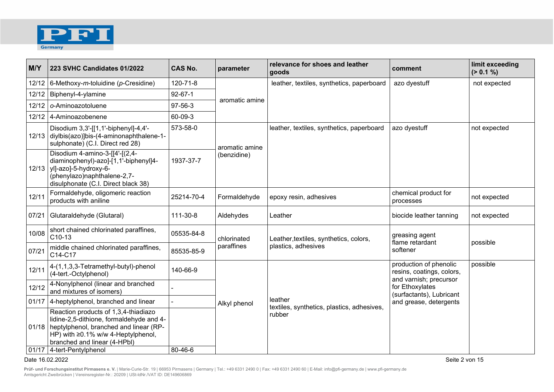

| M/Y   | 223 SVHC Candidates 01/2022                                                                                                                                                                                                           | <b>CAS No.</b> | parameter                     | relevance for shoes and leather<br>goods              | comment                                                               | limit exceeding<br>(> 0.1 %) |
|-------|---------------------------------------------------------------------------------------------------------------------------------------------------------------------------------------------------------------------------------------|----------------|-------------------------------|-------------------------------------------------------|-----------------------------------------------------------------------|------------------------------|
|       | 12/12 6-Methoxy-m-toluidine (p-Cresidine)                                                                                                                                                                                             | 120-71-8       |                               | leather, textiles, synthetics, paperboard             | azo dyestuff                                                          | not expected                 |
| 12/12 | Biphenyl-4-ylamine                                                                                                                                                                                                                    | $92 - 67 - 1$  | aromatic amine                |                                                       |                                                                       |                              |
| 12/12 | o-Aminoazotoluene                                                                                                                                                                                                                     | 97-56-3        |                               |                                                       |                                                                       |                              |
| 12/12 | 4-Aminoazobenene                                                                                                                                                                                                                      | 60-09-3        |                               |                                                       |                                                                       |                              |
|       | Disodium 3,3'-[[1,1'-biphenyl]-4,4'-<br>12/13 diylbis(azo)]bis-(4-aminonaphthalene-1-<br>sulphonate) (C.I. Direct red 28)                                                                                                             | 573-58-0       | aromatic amine<br>(benzidine) | leather, textiles, synthetics, paperboard             | azo dyestuff                                                          | not expected                 |
|       | Disodium 4-amino-3-[[4'-[(2,4-<br>diaminophenyl)-azo]-[1,1'-biphenyl]4-<br>12/13   yl]-azo]-5-hydroxy-6-<br>(phenylazo)naphthalene-2,7-<br>disulphonate (C.I. Direct black 38)                                                        | 1937-37-7      |                               |                                                       |                                                                       |                              |
| 12/11 | Formaldehyde, oligomeric reaction<br>products with aniline                                                                                                                                                                            | 25214-70-4     | Formaldehyde                  | epoxy resin, adhesives                                | chemical product for<br>processes                                     | not expected                 |
| 07/21 | Glutaraldehyde (Glutaral)                                                                                                                                                                                                             | 111-30-8       | Aldehydes                     | Leather                                               | biocide leather tanning                                               | not expected                 |
| 10/08 | short chained chlorinated paraffines,<br>C10-13                                                                                                                                                                                       | 05535-84-8     | chlorinated                   | Leather, textiles, synthetics, colors,                | greasing agent<br>flame retardant<br>softener                         | possible                     |
| 07/21 | middle chained chlorinated paraffines,<br>C14-C17                                                                                                                                                                                     | 85535-85-9     | paraffines                    | plastics, adhesives                                   |                                                                       |                              |
| 12/11 | 4-(1,1,3,3-Tetramethyl-butyl)-phenol<br>(4-tert.-Octylphenol)                                                                                                                                                                         | 140-66-9       |                               |                                                       | production of phenolic<br>resins, coatings, colors,                   | possible                     |
| 12/12 | 4-Nonylphenol (linear and branched<br>and mixtures of isomers)                                                                                                                                                                        |                |                               |                                                       | and varnish; precursor<br>for Ethoxylates<br>(surfactants), Lubricant |                              |
| 01/17 | 4-heptylphenol, branched and linear                                                                                                                                                                                                   |                | Alkyl phenol                  | leather<br>textiles, synthetics, plastics, adhesives, | and grease, detergents                                                |                              |
|       | Reaction products of 1,3,4-thiadiazo<br>lidine-2,5-dithione, formaldehyde and 4-<br>01/18   heptylphenol, branched and linear (RP-<br>HP) with ≥0.1% w/w 4-Heptylphenol,<br>branched and linear (4-HPbl)<br>01/17 4-tert-Pentylphenol | 80-46-6        |                               | rubber                                                |                                                                       |                              |

## Date 16.02.2022 Seite 2 von 15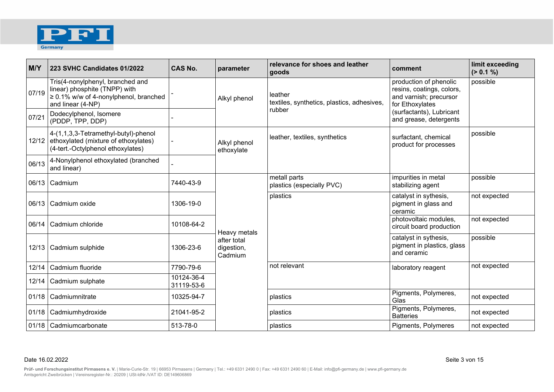

| M/Y   | 223 SVHC Candidates 01/2022                                                                                                           | <b>CAS No.</b>           | parameter                            | relevance for shoes and leather<br>goods              | comment                                                                                          | limit exceeding<br>(> 0.1 %) |
|-------|---------------------------------------------------------------------------------------------------------------------------------------|--------------------------|--------------------------------------|-------------------------------------------------------|--------------------------------------------------------------------------------------------------|------------------------------|
| 07/19 | Tris(4-nonylphenyl, branched and<br>linear) phosphite (TNPP) with<br>$\geq 0.1\%$ w/w of 4-nonylphenol, branched<br>and linear (4-NP) |                          | Alkyl phenol                         | leather<br>textiles, synthetics, plastics, adhesives, | production of phenolic<br>resins, coatings, colors,<br>and varnish; precursor<br>for Ethoxylates | possible                     |
| 07/21 | Dodecylphenol, Isomere<br>(PDDP, TPP, DDP)                                                                                            |                          |                                      | rubber                                                | (surfactants), Lubricant<br>and grease, detergents                                               |                              |
|       | 4-(1,1,3,3-Tetramethyl-butyl)-phenol<br>12/12 ethoxylated (mixture of ethoxylates)<br>(4-tert.-Octylphenol ethoxylates)               |                          | Alkyl phenol<br>ethoxylate           | leather, textiles, synthetics                         | surfactant, chemical<br>product for processes                                                    | possible                     |
| 06/13 | 4-Nonylphenol ethoxylated (branched<br>and linear)                                                                                    |                          |                                      |                                                       |                                                                                                  |                              |
|       | 06/13 Cadmium                                                                                                                         | 7440-43-9                |                                      | metall parts<br>plastics (especially PVC)             | impurities in metal<br>stabilizing agent                                                         | possible                     |
|       | 06/13   Cadmium oxide                                                                                                                 | 1306-19-0                |                                      | plastics                                              | catalyst in sythesis,<br>pigment in glass and<br>ceramic                                         | not expected                 |
|       | 06/14   Cadmium chloride                                                                                                              | 10108-64-2               | Heavy metals                         |                                                       | photovoltaic modules,<br>circuit board production                                                | not expected                 |
|       | 12/13   Cadmium sulphide                                                                                                              | 1306-23-6                | after total<br>digestion,<br>Cadmium |                                                       | catalyst in sythesis,<br>pigment in plastics, glass<br>and ceramic                               | possible                     |
| 12/14 | Cadmium fluoride                                                                                                                      | 7790-79-6                |                                      | not relevant                                          | laboratory reagent                                                                               | not expected                 |
| 12/14 | Cadmium sulphate                                                                                                                      | 10124-36-4<br>31119-53-6 |                                      |                                                       |                                                                                                  |                              |
| 01/18 | Cadmiumnitrate                                                                                                                        | 10325-94-7               |                                      | plastics                                              | Pigments, Polymeres,<br>Glas                                                                     | not expected                 |
| 01/18 | Cadmiumhydroxide                                                                                                                      | 21041-95-2               |                                      | plastics                                              | Pigments, Polymeres,<br><b>Batteries</b>                                                         | not expected                 |
|       | 01/18   Cadmiumcarbonate                                                                                                              | 513-78-0                 |                                      | plastics                                              | Pigments, Polymeres                                                                              | not expected                 |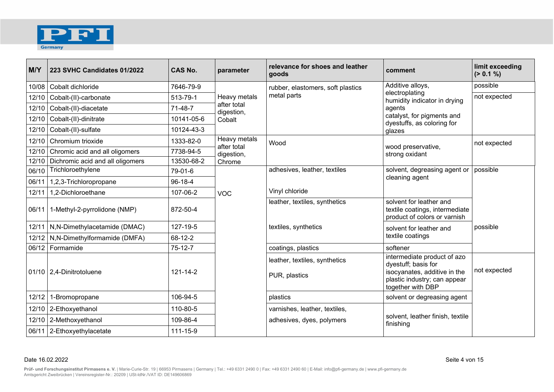

| M/Y   | 223 SVHC Candidates 01/2022          | <b>CAS No.</b> | parameter                           | relevance for shoes and leather<br>goods       | comment                                                                                                                                 | limit exceeding<br>(> 0.1 %) |
|-------|--------------------------------------|----------------|-------------------------------------|------------------------------------------------|-----------------------------------------------------------------------------------------------------------------------------------------|------------------------------|
| 10/08 | Cobalt dichloride                    | 7646-79-9      |                                     | rubber, elastomers, soft plastics              | Additive alloys,                                                                                                                        | possible                     |
| 12/10 | Cobalt-(II)-carbonate                | 513-79-1       | Heavy metals                        | metal parts                                    | electroplating<br>humidity indicator in drying                                                                                          | not expected                 |
| 12/10 | Cobalt-(II)-diacetate                | $71 - 48 - 7$  | after total<br>digestion,           |                                                | agents                                                                                                                                  |                              |
| 12/10 | Cobalt-(II)-dinitrate                | 10141-05-6     | Cobalt                              |                                                | catalyst, for pigments and<br>dyestuffs, as coloring for                                                                                |                              |
|       | 12/10 Cobalt-(II)-sulfate            | 10124-43-3     |                                     |                                                | glazes                                                                                                                                  |                              |
| 12/10 | Chromium trioxide                    | 1333-82-0      | Heavy metals                        | Wood                                           |                                                                                                                                         | not expected                 |
| 12/10 | Chromic acid and all oligomers       | 7738-94-5      | after total<br>digestion,<br>Chrome |                                                | wood preservative,<br>strong oxidant                                                                                                    |                              |
| 12/10 | Dichromic acid and all oligomers     | 13530-68-2     |                                     |                                                |                                                                                                                                         |                              |
| 06/10 | Trichloroethylene                    | 79-01-6        |                                     | adhesives, leather, textiles                   | solvent, degreasing agent or                                                                                                            | possible                     |
| 06/11 | 1,2,3-Trichloropropane               | $96 - 18 - 4$  | <b>VOC</b>                          |                                                | cleaning agent                                                                                                                          |                              |
| 12/11 | 1,2-Dichloroethane                   | 107-06-2       |                                     | Vinyl chloride                                 |                                                                                                                                         |                              |
| 06/11 | 1-Methyl-2-pyrrolidone (NMP)         | 872-50-4       |                                     | leather, textiles, synthetics                  | solvent for leather and<br>textile coatings, intermediate<br>product of colors or varnish                                               |                              |
|       | 12/11 N,N-Dimethylacetamide (DMAC)   | 127-19-5       |                                     | textiles, synthetics                           | solvent for leather and                                                                                                                 | possible                     |
|       | 12/12   N,N-Dimethylformamide (DMFA) | 68-12-2        |                                     |                                                | textile coatings                                                                                                                        |                              |
|       | 06/12 Formamide                      | $75-12-7$      |                                     | coatings, plastics                             | softener                                                                                                                                |                              |
|       | 01/10   2,4-Dinitrotoluene           | 121-14-2       |                                     | leather, textiles, synthetics<br>PUR, plastics | intermediate product of azo<br>dyestuff; basis for<br>isocyanates, additive in the<br>plastic industry; can appear<br>together with DBP | not expected                 |
| 12/12 | 1-Bromopropane                       | 106-94-5       |                                     | plastics                                       | solvent or degreasing agent                                                                                                             |                              |
|       | 12/10 2-Ethoxyethanol                | 110-80-5       |                                     | varnishes, leather, textiles,                  |                                                                                                                                         |                              |
|       | 12/10 2-Methoxyethanol               | 109-86-4       |                                     | adhesives, dyes, polymers                      | solvent, leather finish, textile<br>finishing                                                                                           |                              |
|       | 06/11 2-Ethoxyethylacetate           | 111-15-9       |                                     |                                                |                                                                                                                                         |                              |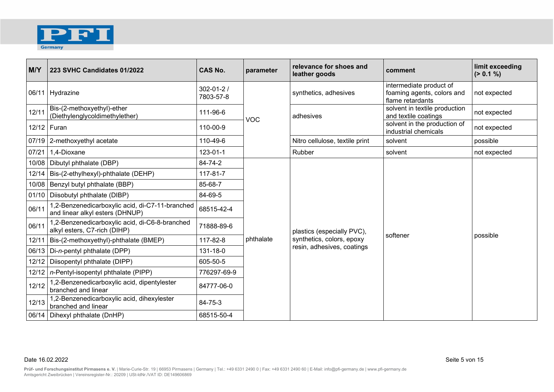

| M/Y   | 223 SVHC Candidates 01/2022                                                        | <b>CAS No.</b>               | parameter  | relevance for shoes and<br>leather goods | comment                                                                   | limit exceeding<br>(> 0.1 %) |
|-------|------------------------------------------------------------------------------------|------------------------------|------------|------------------------------------------|---------------------------------------------------------------------------|------------------------------|
|       | 06/11 Hydrazine                                                                    | $302 - 01 - 2/$<br>7803-57-8 |            | synthetics, adhesives                    | intermediate product of<br>foaming agents, colors and<br>flame retardants | not expected                 |
| 12/11 | Bis-(2-methoxyethyl)-ether<br>(Diethylenglycoldimethylether)                       | 111-96-6                     | <b>VOC</b> | adhesives                                | solvent in textile production<br>and textile coatings                     | not expected                 |
|       | 12/12   Furan                                                                      | 110-00-9                     |            |                                          | solvent in the production of<br>industrial chemicals                      | not expected                 |
|       | 07/19 2-methoxyethyl acetate                                                       | 110-49-6                     |            | Nitro cellulose, textile print           | solvent                                                                   | possible                     |
| 07/21 | 1,4-Dioxane                                                                        | 123-01-1                     |            | Rubber                                   | solvent                                                                   | not expected                 |
|       | 10/08   Dibutyl phthalate (DBP)                                                    | 84-74-2                      |            |                                          |                                                                           |                              |
|       | 12/14   Bis-(2-ethylhexyl)-phthalate (DEHP)                                        | 117-81-7                     |            |                                          |                                                                           |                              |
|       | 10/08   Benzyl butyl phthalate (BBP)                                               | 85-68-7                      |            |                                          |                                                                           |                              |
|       | 01/10   Diisobutyl phthalate (DIBP)                                                | 84-69-5                      |            |                                          |                                                                           |                              |
| 06/11 | 1,2-Benzenedicarboxylic acid, di-C7-11-branched<br>and linear alkyl esters (DHNUP) | 68515-42-4                   |            |                                          |                                                                           |                              |
| 06/11 | 1,2-Benzenedicarboxylic acid, di-C6-8-branched<br>alkyl esters, C7-rich (DIHP)     | 71888-89-6                   |            | plastics (especially PVC),               |                                                                           |                              |
|       | 12/11   Bis-(2-methoxyethyl)-phthalate (BMEP)                                      | 117-82-8                     | phthalate  | synthetics, colors, epoxy                | softener                                                                  | possible                     |
|       | 06/13   Di-n-pentyl phthalate (DPP)                                                | 131-18-0                     |            | resin, adhesives, coatings               |                                                                           |                              |
| 12/12 | Diisopentyl phthalate (DIPP)                                                       | 605-50-5                     |            |                                          |                                                                           |                              |
|       | 12/12   n-Pentyl-isopentyl phthalate (PIPP)                                        | 776297-69-9                  |            |                                          |                                                                           |                              |
| 12/12 | 1,2-Benzenedicarboxylic acid, dipentylester<br>branched and linear                 | 84777-06-0                   |            |                                          |                                                                           |                              |
| 12/13 | 1,2-Benzenedicarboxylic acid, dihexylester<br>branched and linear                  | 84-75-3                      |            |                                          |                                                                           |                              |
|       | 06/14   Dihexyl phthalate (DnHP)                                                   | 68515-50-4                   |            |                                          |                                                                           |                              |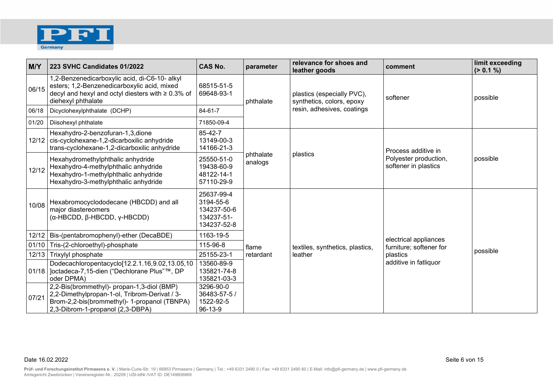

| M/Y   | 223 SVHC Candidates 01/2022                                                                                                                                                     | <b>CAS No.</b>                                                      | parameter            | relevance for shoes and<br>leather goods                                              | comment                                                              | limit exceeding<br>(> 0.1 %) |
|-------|---------------------------------------------------------------------------------------------------------------------------------------------------------------------------------|---------------------------------------------------------------------|----------------------|---------------------------------------------------------------------------------------|----------------------------------------------------------------------|------------------------------|
| 06/15 | 1,2-Benzenedicarboxylic acid, di-C6-10- alkyl<br>esters; 1,2-Benzenedicarboxylic acid, mixed<br>decyl and hexyl and octyl diesters with $\geq 0.3\%$ of<br>diehexyl phthalate   | 68515-51-5<br>69648-93-1                                            | phthalate            | plastics (especially PVC),<br>synthetics, colors, epoxy<br>resin, adhesives, coatings | softener                                                             | possible                     |
| 06/18 | Dicyclohexylphthalate (DCHP)                                                                                                                                                    | 84-61-7                                                             |                      |                                                                                       |                                                                      |                              |
| 01/20 | Diisohexyl phthalate                                                                                                                                                            | 71850-09-4                                                          |                      |                                                                                       |                                                                      |                              |
| 12/12 | Hexahydro-2-benzofuran-1,3,dione<br>cis-cyclohexane-1,2-dicarboxilic anhydride<br>trans-cyclohexane-1,2-dicarboxilic anhydride                                                  | 85-42-7<br>13149-00-3<br>14166-21-3                                 | phthalate<br>analogs | plastics                                                                              | Process additive in<br>Polyester production,<br>softener in plastics | possible                     |
| 12/12 | Hexahydromethylphthalic anhydride<br>Hexahydro-4-methylphthalic anhydride<br>Hexahydro-1-methylphthalic anhydride<br>Hexahydro-3-methylphthalic anhydride                       | 25550-51-0<br>19438-60-9<br>48122-14-1<br>57110-29-9                |                      |                                                                                       |                                                                      |                              |
| 10/08 | Hexabromocyclododecane (HBCDD) and all<br>major diastereomers<br>(α-HBCDD, β-HBCDD, γ-HBCDD)                                                                                    | 25637-99-4<br>3194-55-6<br>134237-50-6<br>134237-51-<br>134237-52-8 |                      |                                                                                       |                                                                      |                              |
| 12/12 | Bis-(pentabromophenyl)-ether (DecaBDE)                                                                                                                                          | 1163-19-5                                                           |                      |                                                                                       | electrical appliances                                                |                              |
| 01/10 | Tris-(2-chloroethyl)-phosphate                                                                                                                                                  | 115-96-8                                                            | flame                | textiles, synthetics, plastics,                                                       | furniture; softener for                                              |                              |
| 12/13 | Trixylyl phosphate                                                                                                                                                              | 25155-23-1                                                          | retardant            | leather                                                                               | plastics                                                             | possible                     |
| 01/18 | Dodecachloropentacyclo[12.2.1.16,9.02,13.05,10<br>]octadeca-7,15-dien ("Dechlorane Plus"™, DP<br>oder DPMA)                                                                     | 13560-89-9<br>135821-74-8<br>135821-03-3                            |                      |                                                                                       | additive in fatliquor                                                |                              |
| 07/21 | 2,2-Bis(brommethyl)- propan-1,3-diol (BMP)<br>2,2-Dimethylpropan-1-ol, Tribrom-Derivat / 3-<br>Brom-2,2-bis(brommethyl)- 1-propanol (TBNPA)<br>2,3-Dibrom-1-propanol (2,3-DBPA) | 3296-90-0<br>36483-57-5 /<br>1522-92-5<br>96-13-9                   |                      |                                                                                       |                                                                      |                              |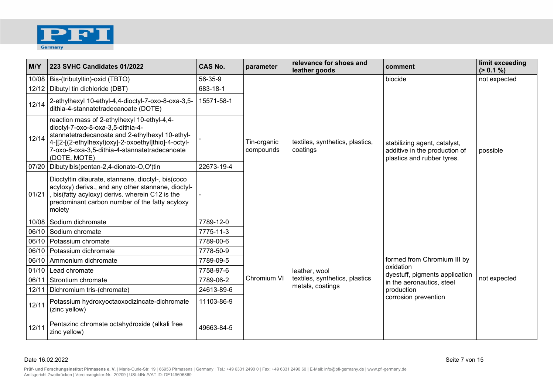

| M/Y   | 223 SVHC Candidates 01/2022                                                                                                                                                                                                                                 | <b>CAS No.</b> | parameter                | relevance for shoes and<br>leather goods    | comment                                                                                     | limit exceeding<br>(> 0.1 %) |
|-------|-------------------------------------------------------------------------------------------------------------------------------------------------------------------------------------------------------------------------------------------------------------|----------------|--------------------------|---------------------------------------------|---------------------------------------------------------------------------------------------|------------------------------|
| 10/08 | Bis-(tributyltin)-oxid (TBTO)                                                                                                                                                                                                                               | 56-35-9        |                          |                                             | biocide                                                                                     | not expected                 |
| 12/12 | Dibutyl tin dichloride (DBT)                                                                                                                                                                                                                                | 683-18-1       |                          |                                             |                                                                                             |                              |
| 12/14 | 2-ethylhexyl 10-ethyl-4,4-dioctyl-7-oxo-8-oxa-3,5-<br>dithia-4-stannatetradecanoate (DOTE)                                                                                                                                                                  | 15571-58-1     | Tin-organic<br>compounds | textiles, synthetics, plastics,<br>coatings | stabilizing agent, catalyst,<br>additive in the production of<br>plastics and rubber tyres. |                              |
| 12/14 | reaction mass of 2-ethylhexyl 10-ethyl-4,4-<br>dioctyl-7-oxo-8-oxa-3,5-dithia-4-<br>stannatetradecanoate and 2-ethylhexyl 10-ethyl-<br>4-[[2-[(2-ethylhexyl)oxy]-2-oxoethyl]thio]-4-octyl-<br>7-oxo-8-oxa-3,5-dithia-4-stannatetradecanoate<br>(DOTE, MOTE) |                |                          |                                             |                                                                                             | possible                     |
|       | 07/20   Dibutylbis(pentan-2,4-dionato-O,O')tin                                                                                                                                                                                                              | 22673-19-4     |                          |                                             |                                                                                             |                              |
| 01/21 | Dioctyltin dilaurate, stannane, dioctyl-, bis(coco<br>acyloxy) derivs., and any other stannane, dioctyl-<br>, bis(fatty acyloxy) derivs. wherein C12 is the<br>predominant carbon number of the fatty acyloxy<br>moiety                                     |                |                          |                                             |                                                                                             |                              |
| 10/08 | Sodium dichromate                                                                                                                                                                                                                                           | 7789-12-0      |                          |                                             |                                                                                             |                              |
| 06/10 | Sodium chromate                                                                                                                                                                                                                                             | 7775-11-3      |                          |                                             |                                                                                             |                              |
|       | 06/10   Potassium chromate                                                                                                                                                                                                                                  | 7789-00-6      |                          |                                             |                                                                                             |                              |
|       | 06/10   Potassium dichromate                                                                                                                                                                                                                                | 7778-50-9      |                          |                                             |                                                                                             |                              |
| 06/10 | Ammonium dichromate                                                                                                                                                                                                                                         | 7789-09-5      |                          |                                             | formed from Chromium III by                                                                 |                              |
| 01/10 | Lead chromate                                                                                                                                                                                                                                               | 7758-97-6      |                          | leather, wool                               | oxidation<br>dyestuff, pigments application                                                 |                              |
| 06/11 | Strontium chromate                                                                                                                                                                                                                                          | 7789-06-2      | Chromium VI              | textiles, synthetics, plastics              | in the aeronautics, steel                                                                   | not expected                 |
| 12/11 | Dichromium tris-(chromate)                                                                                                                                                                                                                                  | 24613-89-6     |                          | metals, coatings                            | production                                                                                  |                              |
| 12/11 | Potassium hydroxyoctaoxodizincate-dichromate<br>(zinc yellow)                                                                                                                                                                                               | 11103-86-9     |                          |                                             | corrosion prevention                                                                        |                              |
| 12/11 | Pentazinc chromate octahydroxide (alkali free<br>zinc yellow)                                                                                                                                                                                               | 49663-84-5     |                          |                                             |                                                                                             |                              |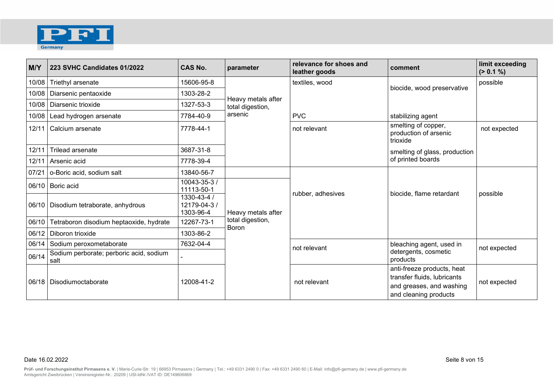

| M/Y   | 223 SVHC Candidates 01/2022                     | <b>CAS No.</b>                           | parameter                        | relevance for shoes and<br>leather goods | comment                                                                                                        | limit exceeding<br>(> 0.1 %) |
|-------|-------------------------------------------------|------------------------------------------|----------------------------------|------------------------------------------|----------------------------------------------------------------------------------------------------------------|------------------------------|
| 10/08 | Triethyl arsenate                               | 15606-95-8                               |                                  | textiles, wood                           | biocide, wood preservative                                                                                     | possible                     |
| 10/08 | Diarsenic pentaoxide                            | 1303-28-2                                | Heavy metals after               |                                          |                                                                                                                |                              |
| 10/08 | Diarsenic trioxide                              | 1327-53-3                                | total digestion,                 |                                          |                                                                                                                |                              |
| 10/08 | Lead hydrogen arsenate                          | 7784-40-9                                | arsenic                          | <b>PVC</b>                               | stabilizing agent                                                                                              |                              |
|       | 12/11   Calcium arsenate                        | 7778-44-1                                |                                  | not relevant                             | smelting of copper,<br>production of arsenic<br>trioxide                                                       | not expected                 |
| 12/11 | <b>Trilead arsenate</b>                         | 3687-31-8                                |                                  |                                          | smelting of glass, production                                                                                  |                              |
|       | 12/11   Arsenic acid                            | 7778-39-4                                |                                  |                                          | of printed boards                                                                                              |                              |
| 07/21 | o-Boric acid, sodium salt                       | 13840-56-7                               |                                  |                                          |                                                                                                                |                              |
|       | 06/10   Boric acid                              | 10043-35-3 /<br>11113-50-1               |                                  |                                          |                                                                                                                |                              |
|       | 06/10   Disodium tetraborate, anhydrous         | 1330-43-4 /<br>12179-04-3 /<br>1303-96-4 | Heavy metals after               | rubber, adhesives                        | biocide, flame retardant                                                                                       | possible                     |
| 06/10 | Tetraboron disodium heptaoxide, hydrate         | 12267-73-1                               | total digestion,<br><b>Boron</b> |                                          |                                                                                                                |                              |
| 06/12 | Diboron trioxide                                | 1303-86-2                                |                                  |                                          |                                                                                                                |                              |
| 06/14 | Sodium peroxometaborate                         | 7632-04-4                                |                                  | not relevant                             | bleaching agent, used in                                                                                       | not expected                 |
| 06/14 | Sodium perborate; perboric acid, sodium<br>salt |                                          |                                  |                                          | detergents, cosmetic<br>products                                                                               |                              |
|       | 06/18   Disodiumoctaborate                      | 12008-41-2                               |                                  | not relevant                             | anti-freeze products, heat<br>transfer fluids, lubricants<br>and greases, and washing<br>and cleaning products | not expected                 |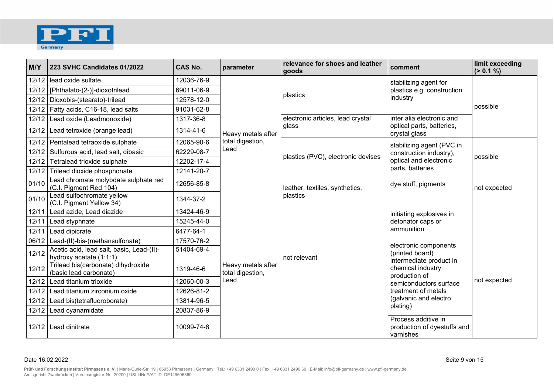

| M/Y     | 223 SVHC Candidates 01/2022                                          | <b>CAS No.</b> | parameter                              | relevance for shoes and leather<br>goods   | comment                                                         | limit exceeding<br>(> 0.1 %) |
|---------|----------------------------------------------------------------------|----------------|----------------------------------------|--------------------------------------------|-----------------------------------------------------------------|------------------------------|
|         | 12/12 lead oxide sulfate                                             | 12036-76-9     |                                        | plastics                                   | stabilizing agent for                                           |                              |
|         | 12/12   [Phthalato-(2-)]-dioxotrilead                                | 69011-06-9     |                                        |                                            | plastics e.g. construction                                      |                              |
|         | 12/12   Dioxobis-(stearato)-trilead                                  | 12578-12-0     |                                        |                                            | industry                                                        |                              |
|         | 12/12   Fatty acids, C16-18, lead salts                              | 91031-62-8     |                                        |                                            |                                                                 | possible                     |
| 12/12   | Lead oxide (Leadmonoxide)                                            | 1317-36-8      |                                        | electronic articles, lead crystal          | inter alia electronic and                                       |                              |
|         | 12/12   Lead tetroxide (orange lead)                                 | 1314-41-6      | Heavy metals after                     | glass                                      | optical parts, batteries,<br>crystal glass                      |                              |
|         | 12/12 Pentalead tetraoxide sulphate                                  | 12065-90-6     | total digestion,                       |                                            | stabilizing agent (PVC in                                       |                              |
|         | 12/12 Sulfurous acid, lead salt, dibasic                             | 62229-08-7     | Lead                                   | plastics (PVC), electronic devises         | construction industry),                                         | possible                     |
|         | 12/12 Tetralead trioxide sulphate                                    | 12202-17-4     |                                        |                                            | optical and electronic                                          |                              |
|         | 12/12 Trilead dioxide phosphonate                                    | 12141-20-7     |                                        |                                            | parts, batteries                                                |                              |
| 01/10   | Lead chromate molybdate sulphate red<br>(C.I. Pigment Red 104)       | 12656-85-8     |                                        | leather, textiles, synthetics,<br>plastics | dye stuff, pigments                                             | not expected                 |
| 01/10   | Lead sulfochromate yellow<br>(C.I. Pigment Yellow 34)                | 1344-37-2      |                                        |                                            |                                                                 |                              |
|         | 12/11 Lead azide, Lead diazide                                       | 13424-46-9     |                                        |                                            | initiating explosives in                                        |                              |
| 12/11   | Lead styphnate                                                       | 15245-44-0     |                                        |                                            | detonator caps or                                               |                              |
| 12/11   | Lead dipicrate                                                       | 6477-64-1      |                                        |                                            | ammunition                                                      |                              |
| 06/12   | Lead-(II)-bis-(methansulfonate)                                      | 17570-76-2     |                                        |                                            | electronic components                                           |                              |
| 12/12   | Acetic acid, lead salt, basic, Lead-(II)-<br>hydroxy acetate (1:1:1) | 51404-69-4     |                                        | not relevant                               | (printed board)<br>intermediate product in                      |                              |
| 12/12   | Trilead bis(carbonate) dihydroxide<br>(basic lead carbonate)         | 1319-46-6      | Heavy metals after<br>total digestion, |                                            | chemical industry<br>production of                              |                              |
| $12/12$ | Lead titanium trioxide                                               | 12060-00-3     | Lead                                   |                                            | semiconductors surface                                          | not expected                 |
|         | 12/12 Lead titanium zirconium oxide                                  | 12626-81-2     |                                        |                                            | treatment of metals                                             |                              |
| 12/12   | Lead bis(tetrafluoroborate)                                          | 13814-96-5     |                                        |                                            | (galvanic and electro                                           |                              |
| 12/12   | Lead cyanamidate                                                     | 20837-86-9     |                                        |                                            | plating)                                                        |                              |
|         | 12/12   Lead dinitrate                                               | 10099-74-8     |                                        |                                            | Process additive in<br>production of dyestuffs and<br>varnishes |                              |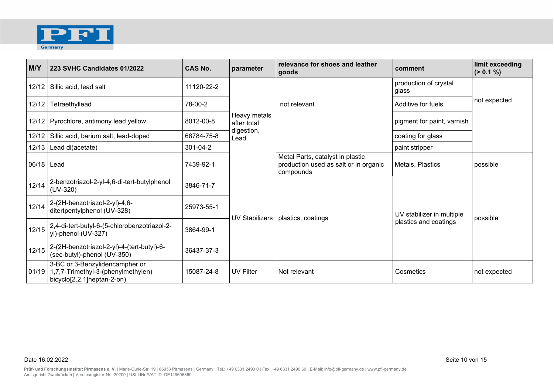

| M/Y          | 223 SVHC Candidates 01/2022                                                                        | <b>CAS No.</b> | parameter                                         | relevance for shoes and leather<br>goods                                               | comment                                            | limit exceeding<br>(> 0.1 %) |
|--------------|----------------------------------------------------------------------------------------------------|----------------|---------------------------------------------------|----------------------------------------------------------------------------------------|----------------------------------------------------|------------------------------|
| 12/12        | Sillic acid, lead salt                                                                             | 11120-22-2     |                                                   |                                                                                        | production of crystal<br>glass                     |                              |
| 12/12        | Tetraethyllead                                                                                     | 78-00-2        |                                                   | not relevant                                                                           | Additive for fuels                                 | not expected                 |
|              | 12/12   Pyrochlore, antimony lead yellow                                                           | 8012-00-8      | Heavy metals<br>after total<br>digestion,<br>Lead |                                                                                        | pigment for paint, varnish                         |                              |
| 12/12        | Sillic acid, barium salt, lead-doped                                                               | 68784-75-8     |                                                   |                                                                                        | coating for glass                                  |                              |
| 12/13        | Lead di(acetate)                                                                                   | $301 - 04 - 2$ |                                                   |                                                                                        | paint stripper                                     |                              |
| 06/18   Lead |                                                                                                    | 7439-92-1      |                                                   | Metal Parts, catalyst in plastic<br>production used as salt or in organic<br>compounds | Metals, Plastics                                   | possible                     |
| 12/14        | 2-benzotriazol-2-yl-4,6-di-tert-butylphenol<br>$(UV-320)$                                          | 3846-71-7      |                                                   |                                                                                        |                                                    |                              |
| 12/14        | 2-(2H-benzotriazol-2-yl)-4,6-<br>ditertpentylphenol (UV-328)                                       | 25973-55-1     | <b>UV Stabilizers</b>                             |                                                                                        | UV stabilizer in multiple<br>plastics and coatings | possible                     |
| 12/15        | 2,4-di-tert-butyl-6-(5-chlorobenzotriazol-2-<br>yl)-phenol (UV-327)                                | 3864-99-1      |                                                   | plastics, coatings                                                                     |                                                    |                              |
| 12/15        | 2-(2H-benzotriazol-2-yl)-4-(tert-butyl)-6-<br>(sec-butyl)-phenol (UV-350)                          | 36437-37-3     |                                                   |                                                                                        |                                                    |                              |
| 01/19        | 3-BC or 3-Benzylidencampher or<br>1,7,7-Trimethyl-3-(phenylmethylen)<br>bicyclo[2.2.1]heptan-2-on) | 15087-24-8     | UV Filter                                         | Not relevant                                                                           | Cosmetics                                          | not expected                 |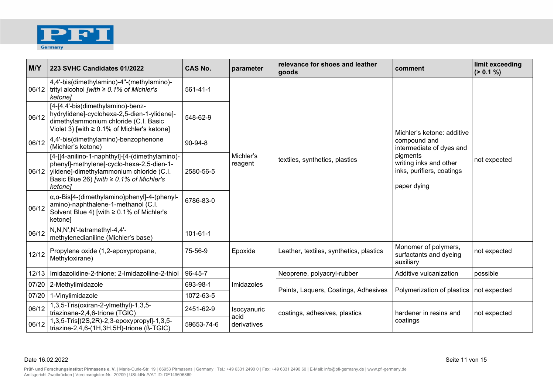

| M/Y   | 223 SVHC Candidates 01/2022                                                                                                                                                                         | <b>CAS No.</b> | parameter            | relevance for shoes and leather<br>goods | comment                                                                                                                                                  | limit exceeding<br>(> 0.1 %) |
|-------|-----------------------------------------------------------------------------------------------------------------------------------------------------------------------------------------------------|----------------|----------------------|------------------------------------------|----------------------------------------------------------------------------------------------------------------------------------------------------------|------------------------------|
|       | 4,4'-bis(dimethylamino)-4"-(methylamino)-<br>06/12   trityl alcohol [with $\geq$ 0.1% of Michler's<br>ketone]                                                                                       | $561 - 41 - 1$ |                      | textiles, synthetics, plastics           | Michler's ketone: additive<br>compound and<br>intermediate of dyes and<br>pigments<br>writing inks and other<br>inks, purifiers, coatings<br>paper dying | not expected                 |
| 06/12 | [4-[4,4'-bis(dimethylamino)-benz-<br>hydrylidene]-cyclohexa-2,5-dien-1-ylidene]-<br>dimethylammonium chloride (C.I. Basic<br>Violet 3) [with $\geq 0.1\%$ of Michler's ketone]                      | 548-62-9       |                      |                                          |                                                                                                                                                          |                              |
| 06/12 | 4,4'-bis(dimethylamino)-benzophenone<br>(Michler's ketone)                                                                                                                                          | 90-94-8        | Michler's<br>reagent |                                          |                                                                                                                                                          |                              |
| 06/12 | [4-[[4-anilino-1-naphthyl]-[4-(dimethylamino)-<br>phenyl]-methylene]-cyclo-hexa-2,5-dien-1-<br>ylidene]-dimethylammonium chloride (C.I.<br>Basic Blue 26) [with $\geq$ 0.1% of Michler's<br>ketone] | 2580-56-5      |                      |                                          |                                                                                                                                                          |                              |
| 06/12 | $\alpha, \alpha$ -Bis[4-(dimethylamino)phenyl]-4-(phenyl-<br>amino)-naphthalene-1-methanol (C.I.<br>Solvent Blue 4) [with ≥ 0.1% of Michler's<br>ketone]                                            | 6786-83-0      |                      |                                          |                                                                                                                                                          |                              |
| 06/12 | N,N,N',N'-tetramethyl-4,4'-<br>methylenedianiline (Michler's base)                                                                                                                                  | $101 - 61 - 1$ |                      |                                          |                                                                                                                                                          |                              |
| 12/12 | Propylene oxide (1,2-epoxypropane,<br>Methyloxirane)                                                                                                                                                | 75-56-9        | Epoxide              | Leather, textiles, synthetics, plastics  | Monomer of polymers,<br>surfactants and dyeing<br>auxiliary                                                                                              | not expected                 |
|       | 12/13   Imidazolidine-2-thione; 2-Imidazolline-2-thiol                                                                                                                                              | 96-45-7        |                      | Neoprene, polyacryl-rubber               | Additive vulcanization                                                                                                                                   | possible                     |
|       | 07/20 2-Methylimidazole                                                                                                                                                                             | 693-98-1       | Imidazoles           |                                          |                                                                                                                                                          |                              |
| 07/20 | 1-Vinylimidazole                                                                                                                                                                                    | 1072-63-5      |                      | Paints, Laquers, Coatings, Adhesives     | Polymerization of plastics                                                                                                                               | not expected                 |
| 06/12 | 1,3,5-Tris(oxiran-2-ylmethyl)-1,3,5-<br>triazinane-2,4,6-trione (TGIC)                                                                                                                              | 2451-62-9      | Isocyanuric<br>acid  | coatings, adhesives, plastics            | hardener in resins and<br>coatings                                                                                                                       | not expected                 |
| 06/12 | 1,3,5-Tris[(2S,2R)-2,3-epoxypropyl]-1,3,5-<br>triazine-2,4,6-(1H,3H,5H)-trione (ß-TGIC)                                                                                                             | 59653-74-6     | derivatives          |                                          |                                                                                                                                                          |                              |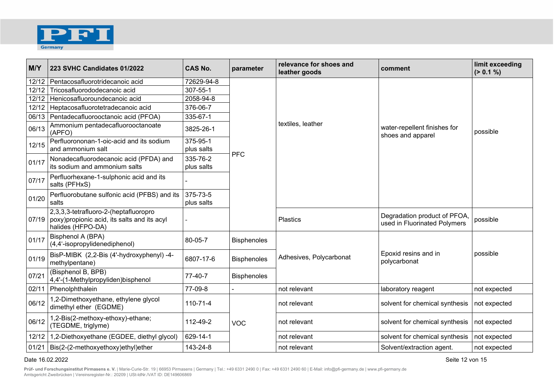

| M/Y   | 223 SVHC Candidates 01/2022                                                                                        | <b>CAS No.</b>         | parameter          | relevance for shoes and<br>leather goods | comment                                                     | limit exceeding<br>(> 0.1 %) |
|-------|--------------------------------------------------------------------------------------------------------------------|------------------------|--------------------|------------------------------------------|-------------------------------------------------------------|------------------------------|
|       | 12/12 Pentacosafluorotridecanoic acid                                                                              | 72629-94-8             |                    |                                          |                                                             |                              |
| 12/12 | Tricosafluorododecanoic acid                                                                                       | 307-55-1               |                    |                                          |                                                             |                              |
| 12/12 | Henicosafluoroundecanoic acid                                                                                      | 2058-94-8              |                    |                                          |                                                             |                              |
| 12/12 | Heptacosafluorotetradecanoic acid                                                                                  | 376-06-7               |                    |                                          |                                                             |                              |
|       | 06/13   Pentadecafluorooctanoic acid (PFOA)                                                                        | 335-67-1               |                    |                                          |                                                             |                              |
| 06/13 | Ammonium pentadecafluorooctanoate<br>(APFO)                                                                        | 3825-26-1              |                    | textiles, leather                        | water-repellent finishes for<br>shoes and apparel           | possible                     |
| 12/15 | Perfluorononan-1-oic-acid and its sodium<br>and ammonium salt                                                      | 375-95-1<br>plus salts | <b>PFC</b>         |                                          |                                                             |                              |
| 01/17 | Nonadecafluorodecanoic acid (PFDA) and<br>its sodium and ammonium salts                                            | 335-76-2<br>plus salts |                    |                                          |                                                             |                              |
| 07/17 | Perfluorhexane-1-sulphonic acid and its<br>salts (PFHxS)                                                           |                        |                    |                                          |                                                             |                              |
| 01/20 | Perfluorobutane sulfonic acid (PFBS) and its<br>salts                                                              | 375-73-5<br>plus salts |                    |                                          |                                                             |                              |
|       | 2,3,3,3-tetrafluoro-2-(heptafluoropro<br>07/19   poxy) propionic acid, its salts and its acyl<br>halides (HFPO-DA) |                        |                    | <b>Plastics</b>                          | Degradation product of PFOA<br>used in Fluorinated Polymers | possible                     |
| 01/17 | Bisphenol A (BPA)<br>(4,4'-isopropylidenediphenol)                                                                 | 80-05-7                | <b>Bisphenoles</b> |                                          |                                                             |                              |
| 01/19 | BisP-MIBK (2,2-Bis (4'-hydroxyphenyl) -4-<br>methylpentane)                                                        | 6807-17-6              | <b>Bisphenoles</b> | Adhesives, Polycarbonat                  | Epoxid resins and in<br>polycarbonat                        | possible                     |
| 07/21 | (Bisphenol B, BPB)<br>4,4'-(1-Methylpropyliden)bisphenol                                                           | 77-40-7                | <b>Bisphenoles</b> |                                          |                                                             |                              |
| 02/11 | Phenolphthalein                                                                                                    | 77-09-8                |                    | not relevant                             | laboratory reagent                                          | not expected                 |
| 06/12 | 1,2-Dimethoxyethane, ethylene glycol<br>dimethyl ether (EGDME)                                                     | $110 - 71 - 4$         |                    | not relevant                             | solvent for chemical synthesis                              | not expected                 |
| 06/12 | 1,2-Bis(2-methoxy-ethoxy)-ethane;<br>(TEGDME, triglyme)                                                            | 112-49-2               | <b>VOC</b>         | not relevant                             | solvent for chemical synthesis                              | not expected                 |
| 12/12 | 1,2-Diethoxyethane (EGDEE, diethyl glycol)                                                                         | 629-14-1               |                    | not relevant                             | solvent for chemical synthesis                              | not expected                 |
|       | 01/21   Bis(2-(2-methoxyethoxy)ethyl)ether                                                                         | 143-24-8               |                    | not relevant                             | Solvent/extraction agent.                                   | not expected                 |

## Date 16.02.2022 Seite 12 von 15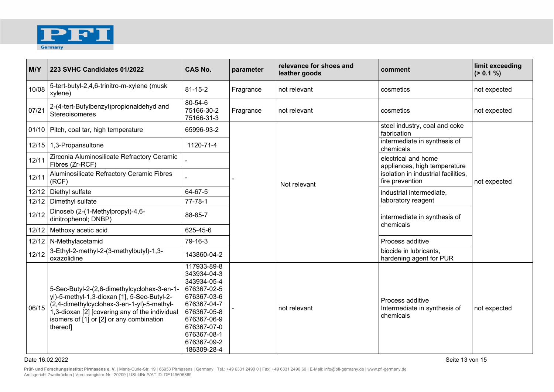

| M/Y   | 223 SVHC Candidates 01/2022                                                                                                                                                                                                                       | <b>CAS No.</b>                                                                                                                                                                   | parameter | relevance for shoes and<br>leather goods | comment                                                       | limit exceeding<br>(> 0.1 %) |
|-------|---------------------------------------------------------------------------------------------------------------------------------------------------------------------------------------------------------------------------------------------------|----------------------------------------------------------------------------------------------------------------------------------------------------------------------------------|-----------|------------------------------------------|---------------------------------------------------------------|------------------------------|
| 10/08 | 5-tert-butyl-2,4,6-trinitro-m-xylene (musk<br>xylene)                                                                                                                                                                                             | 81-15-2                                                                                                                                                                          | Fragrance | not relevant                             | cosmetics                                                     | not expected                 |
| 07/21 | 2-(4-tert-Butylbenzyl)propionaldehyd and<br>Stereoisomeres                                                                                                                                                                                        | 80-54-6<br>75166-30-2<br>75166-31-3                                                                                                                                              | Fragrance | not relevant                             | cosmetics                                                     | not expected                 |
|       | 01/10 Pitch, coal tar, high temperature                                                                                                                                                                                                           | 65996-93-2                                                                                                                                                                       |           |                                          | steel industry, coal and coke<br>fabrication                  |                              |
| 12/15 | 1,3-Propansultone                                                                                                                                                                                                                                 | 1120-71-4                                                                                                                                                                        |           |                                          | intermediate in synthesis of<br>chemicals                     |                              |
| 12/11 | Zirconia Aluminosilicate Refractory Ceramic<br>Fibres (Zr-RCF)                                                                                                                                                                                    |                                                                                                                                                                                  |           |                                          | electrical and home<br>appliances, high temperature           |                              |
| 12/11 | Aluminosilicate Refractory Ceramic Fibres<br>(RCF)                                                                                                                                                                                                |                                                                                                                                                                                  |           | Not relevant                             | isolation in industrial facilities,<br>fire prevention        | not expected                 |
|       | 12/12   Diethyl sulfate                                                                                                                                                                                                                           | 64-67-5                                                                                                                                                                          |           |                                          | industrial intermediate,<br>laboratory reagent                |                              |
|       | 12/12 Dimethyl sulfate                                                                                                                                                                                                                            | $77 - 78 - 1$                                                                                                                                                                    |           |                                          |                                                               |                              |
| 12/12 | Dinoseb (2-(1-Methylpropyl)-4,6-<br>dinitrophenol; DNBP)                                                                                                                                                                                          | 88-85-7                                                                                                                                                                          |           |                                          | intermediate in synthesis of<br>chemicals                     |                              |
| 12/12 | Methoxy acetic acid                                                                                                                                                                                                                               | 625-45-6                                                                                                                                                                         |           |                                          |                                                               |                              |
|       | 12/12   N-Methylacetamid                                                                                                                                                                                                                          | 79-16-3                                                                                                                                                                          |           |                                          | Process additive                                              |                              |
| 12/12 | 3-Ethyl-2-methyl-2-(3-methylbutyl)-1,3-<br>oxazolidine                                                                                                                                                                                            | 143860-04-2                                                                                                                                                                      |           |                                          | biocide in lubricants,<br>hardening agent for PUR             |                              |
| 06/15 | 5-Sec-Butyl-2-(2,6-dimethylcyclohex-3-en-1-<br>yl)-5-methyl-1,3-dioxan [1], 5-Sec-Butyl-2-<br>(2,4-dimethylcyclohex-3-en-1-yl)-5-methyl-<br>1,3-dioxan [2] [covering any of the individual<br>isomers of [1] or [2] or any combination<br>thereof | 117933-89-8<br>343934-04-3<br>343934-05-4<br>676367-02-5<br>676367-03-6<br>676367-04-7<br>676367-05-8<br>676367-06-9<br>676367-07-0<br>676367-08-1<br>676367-09-2<br>186309-28-4 |           | not relevant                             | Process additive<br>Intermediate in synthesis of<br>chemicals | not expected                 |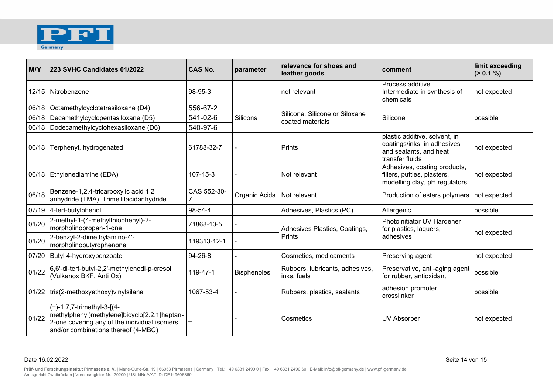

| M/Y   | 223 SVHC Candidates 01/2022                                                                                                                                            | <b>CAS No.</b> | parameter          | relevance for shoes and<br>leather goods           | comment                                                                                                   | limit exceeding<br>(> 0.1 %) |
|-------|------------------------------------------------------------------------------------------------------------------------------------------------------------------------|----------------|--------------------|----------------------------------------------------|-----------------------------------------------------------------------------------------------------------|------------------------------|
|       | 12/15   Nitrobenzene                                                                                                                                                   | 98-95-3        |                    | not relevant                                       | Process additive<br>Intermediate in synthesis of<br>chemicals                                             | not expected                 |
|       | 06/18   Octamethylcyclotetrasiloxane (D4)                                                                                                                              | 556-67-2       | Silicons           | Silicone, Silicone or Siloxane<br>coated materials | Silicone                                                                                                  | possible                     |
|       | 06/18   Decamethylcyclopentasiloxane (D5)                                                                                                                              | 541-02-6       |                    |                                                    |                                                                                                           |                              |
|       | 06/18   Dodecamethylcyclohexasiloxane (D6)                                                                                                                             | 540-97-6       |                    |                                                    |                                                                                                           |                              |
|       | 06/18 Terphenyl, hydrogenated                                                                                                                                          | 61788-32-7     |                    | <b>Prints</b>                                      | plastic additive, solvent, in<br>coatings/inks, in adhesives<br>and sealants, and heat<br>transfer fluids | not expected                 |
|       | 06/18   Ethylenediamine (EDA)                                                                                                                                          | 107-15-3       |                    | Not relevant                                       | Adhesives, coating products,<br>fillers, putties, plasters,<br>modelling clay, pH regulators              | not expected                 |
| 06/18 | Benzene-1,2,4-tricarboxylic acid 1,2<br>anhydride (TMA) Trimellitacidanhydride                                                                                         | CAS 552-30-    | Organic Acids      | Not relevant                                       | Production of esters polymers                                                                             | not expected                 |
|       | 07/19 4-tert-butylphenol                                                                                                                                               | 98-54-4        |                    | Adhesives, Plastics (PC)                           | Allergenic                                                                                                | possible                     |
| 01/20 | 2-methyl-1-(4-methylthiophenyl)-2-<br>morpholinopropan-1-one                                                                                                           | 71868-10-5     |                    | Adhesives Plastics, Coatings,<br>Prints            | Photoinitiator UV Hardener<br>for plastics, laquers,<br>adhesives                                         | not expected                 |
| 01/20 | 2-benzyl-2-dimethylamino-4'-<br>morpholinobutyrophenone                                                                                                                | 119313-12-1    |                    |                                                    |                                                                                                           |                              |
|       | 07/20   Butyl 4-hydroxybenzoate                                                                                                                                        | $94 - 26 - 8$  |                    | Cosmetics, medicaments                             | Preserving agent                                                                                          | not expected                 |
| 01/22 | 6,6'-di-tert-butyl-2,2'-methylenedi-p-cresol<br>(Vulkanox BKF, Anti Ox)                                                                                                | 119-47-1       | <b>Bisphenoles</b> | Rubbers, lubricants, adhesives,<br>inks, fuels     | Preservative, anti-aging agent<br>for rubber, antioxidant                                                 | possible                     |
|       | 01/22   tris(2-methoxyethoxy) viny Isilane                                                                                                                             | 1067-53-4      |                    | Rubbers, plastics, sealants                        | adhesion promoter<br>crosslinker                                                                          | possible                     |
| 01/22 | $(\pm)$ -1,7,7-trimethyl-3-[(4-<br>methylphenyl)methylene]bicyclo[2.2.1]heptan-<br>2-one covering any of the individual isomers<br>and/or combinations thereof (4-MBC) |                |                    | Cosmetics                                          | <b>UV Absorber</b>                                                                                        | not expected                 |